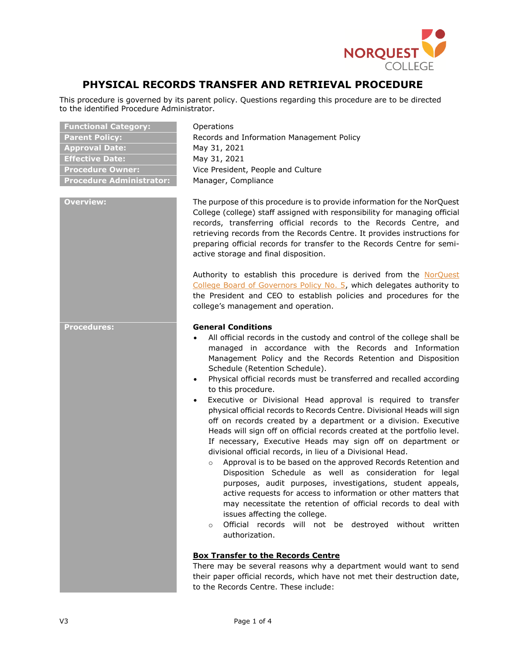

# **PHYSICAL RECORDS TRANSFER AND RETRIEVAL PROCEDURE**

This procedure is governed by its parent policy. Questions regarding this procedure are to be directed to the identified Procedure Administrator.

| <b>Functional Category:</b>     |
|---------------------------------|
| <b>Parent Policy:</b>           |
| <b>Approval Date:</b>           |
| <b>Effective Date:</b>          |
| <b>Procedure Owner:</b>         |
| <b>Procedure Administrator:</b> |

**Operations Parent Policy:** Records and Information Management Policy **Approval Date:** May 31, 2021 **Effective Date:** May 31, 2021 Vice President, People and Culture **Procedure Administrator:** Manager, Compliance

**Overview:** The purpose of this procedure is to provide information for the NorQuest College (college) staff assigned with responsibility for managing official records, transferring official records to the Records Centre, and retrieving records from the Records Centre. It provides instructions for preparing official records for transfer to the Records Centre for semiactive storage and final disposition.

> Authority to establish this procedure is derived from the [NorQuest](https://www.norquest.ca/NorquestCollege/media/pdf/about-us/board/policies-procedures/05-Board-Policy_Delegate_authority_to_President.pdf)  [College Board of Governors Policy No. 5,](https://www.norquest.ca/NorquestCollege/media/pdf/about-us/board/policies-procedures/05-Board-Policy_Delegate_authority_to_President.pdf) which delegates authority to the President and CEO to establish policies and procedures for the college's management and operation.

## **Procedures: General Conditions**

- All official records in the custody and control of the college shall be managed in accordance with the Records and Information Management Policy and the Records Retention and Disposition Schedule (Retention Schedule).
- Physical official records must be transferred and recalled according to this procedure.
- Executive or Divisional Head approval is required to transfer physical official records to Records Centre. Divisional Heads will sign off on records created by a department or a division. Executive Heads will sign off on official records created at the portfolio level. If necessary, Executive Heads may sign off on department or divisional official records, in lieu of a Divisional Head.
	- o Approval is to be based on the approved Records Retention and Disposition Schedule as well as consideration for legal purposes, audit purposes, investigations, student appeals, active requests for access to information or other matters that may necessitate the retention of official records to deal with issues affecting the college.
	- o Official records will not be destroyed without written authorization.

#### **Box Transfer to the Records Centre**

There may be several reasons why a department would want to send their paper official records, which have not met their destruction date, to the Records Centre. These include: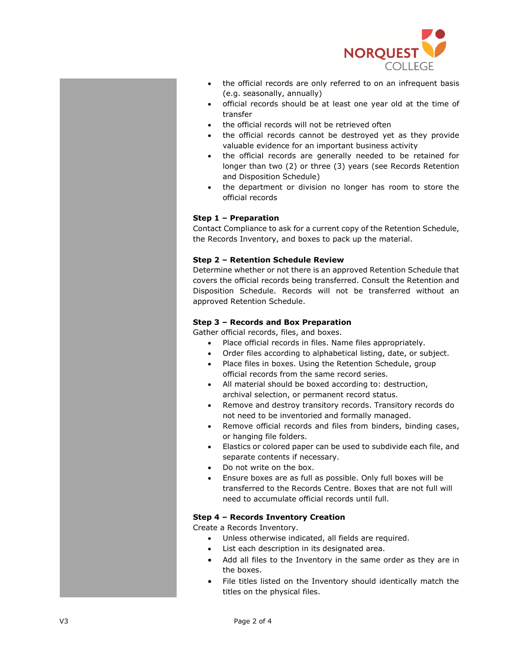

- the official records are only referred to on an infrequent basis (e.g. seasonally, annually)
- official records should be at least one year old at the time of transfer
- the official records will not be retrieved often
- the official records cannot be destroyed yet as they provide valuable evidence for an important business activity
- the official records are generally needed to be retained for longer than two (2) or three (3) years (see Records Retention and Disposition Schedule)
- the department or division no longer has room to store the official records

## **Step 1 – Preparation**

Contact Compliance to ask for a current copy of the Retention Schedule, the Records Inventory, and boxes to pack up the material.

#### **Step 2 – Retention Schedule Review**

Determine whether or not there is an approved Retention Schedule that covers the official records being transferred. Consult the Retention and Disposition Schedule. Records will not be transferred without an approved Retention Schedule.

### **Step 3 – Records and Box Preparation**

Gather official records, files, and boxes.

- Place official records in files. Name files appropriately.
- Order files according to alphabetical listing, date, or subject.
- Place files in boxes. Using the Retention Schedule, group official records from the same record series.
- All material should be boxed according to: destruction, archival selection, or permanent record status.
- Remove and destroy transitory records. Transitory records do not need to be inventoried and formally managed.
- Remove official records and files from binders, binding cases, or hanging file folders.
- Elastics or colored paper can be used to subdivide each file, and separate contents if necessary.
- Do not write on the box.
- Ensure boxes are as full as possible. Only full boxes will be transferred to the Records Centre. Boxes that are not full will need to accumulate official records until full.

#### **Step 4 – Records Inventory Creation**

Create a Records Inventory.

- Unless otherwise indicated, all fields are required.
- List each description in its designated area.
- Add all files to the Inventory in the same order as they are in the boxes.
- File titles listed on the Inventory should identically match the titles on the physical files.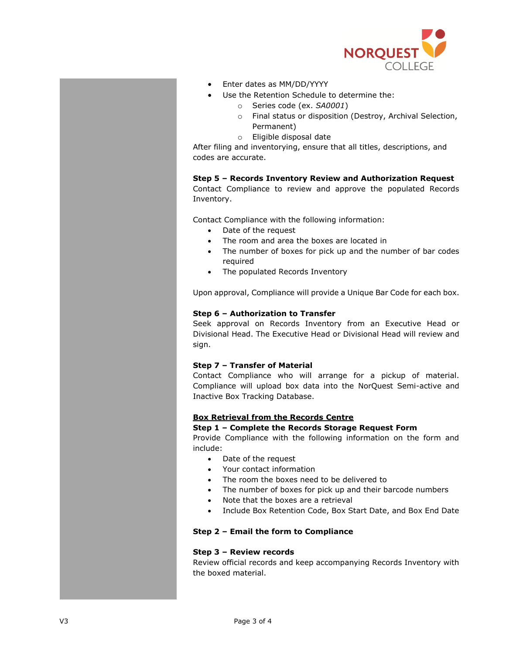

- Enter dates as MM/DD/YYYY
- Use the Retention Schedule to determine the:
	- o Series code (ex. *SA0001*)
	- o Final status or disposition (Destroy, Archival Selection, Permanent)
	- o Eligible disposal date

After filing and inventorying, ensure that all titles, descriptions, and codes are accurate.

#### **Step 5 – Records Inventory Review and Authorization Request**

Contact Compliance to review and approve the populated Records Inventory.

Contact Compliance with the following information:

- Date of the request
- The room and area the boxes are located in
- The number of boxes for pick up and the number of bar codes required
- The populated Records Inventory

Upon approval, Compliance will provide a Unique Bar Code for each box.

## **Step 6 – Authorization to Transfer**

Seek approval on Records Inventory from an Executive Head or Divisional Head. The Executive Head or Divisional Head will review and sign.

#### **Step 7 – Transfer of Material**

Contact Compliance who will arrange for a pickup of material. Compliance will upload box data into the NorQuest Semi-active and Inactive Box Tracking Database.

## **Box Retrieval from the Records Centre**

#### **Step 1 – Complete the Records Storage Request Form**

Provide Compliance with the following information on the form and include:

- Date of the request
- Your contact information
- The room the boxes need to be delivered to
- The number of boxes for pick up and their barcode numbers
- Note that the boxes are a retrieval
- Include Box Retention Code, Box Start Date, and Box End Date

#### **Step 2 – Email the form to Compliance**

#### **Step 3 – Review records**

Review official records and keep accompanying Records Inventory with the boxed material.